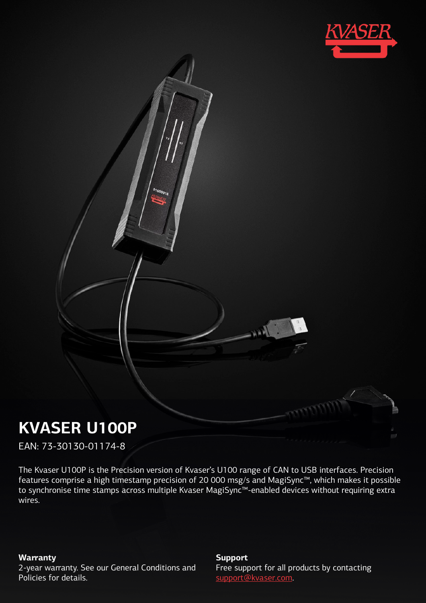

# **KVASER U100P**

EAN: 73-30130-01174-8

The Kvaser U100P is the Precision version of Kvaser's U100 range of CAN to USB interfaces. Precision features comprise a high timestamp precision of 20 000 msg/s and MagiSync™, which makes it possible to synchronise time stamps across multiple Kvaser MagiSync™-enabled devices without requiring extra wires.

**Warranty**

2-year warranty. See our General Conditions and Policies for details.

#### **Support**

Free support for all products by contacting [support@kvaser.com](mailto:support@kvaser.com).